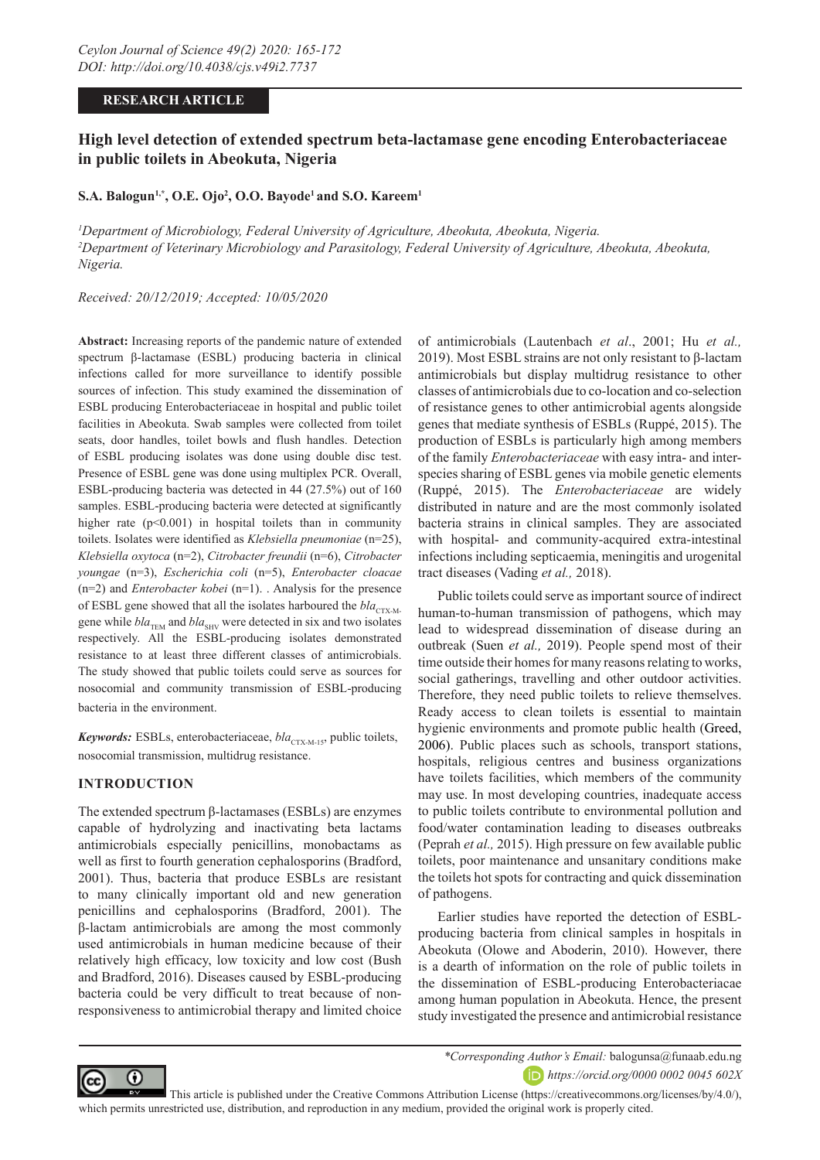#### **RESEARCH ARTICLE**

# **High level detection of extended spectrum beta-lactamase gene encoding Enterobacteriaceae in public toilets in Abeokuta, Nigeria**

 $\mathbf{S.A.}\ \mathbf{Balogun^{1,*},\ O.E.}\ \mathbf{Ojo^2, O.O.}\ \mathbf{Bayode^1\ and\ S.O.}\ \mathbf{Kareem^1}}$ 

*1 Department of Microbiology, Federal University of Agriculture, Abeokuta, Abeokuta, Nigeria. 2 Department of Veterinary Microbiology and Parasitology, Federal University of Agriculture, Abeokuta, Abeokuta, Nigeria.*

*Received: 20/12/2019; Accepted: 10/05/2020*

**Abstract:** Increasing reports of the pandemic nature of extended spectrum β-lactamase (ESBL) producing bacteria in clinical infections called for more surveillance to identify possible sources of infection. This study examined the dissemination of ESBL producing Enterobacteriaceae in hospital and public toilet facilities in Abeokuta. Swab samples were collected from toilet seats, door handles, toilet bowls and flush handles. Detection of ESBL producing isolates was done using double disc test. Presence of ESBL gene was done using multiplex PCR. Overall, ESBL-producing bacteria was detected in 44 (27.5%) out of 160 samples. ESBL-producing bacteria were detected at significantly higher rate  $(p<0.001)$  in hospital toilets than in community toilets. Isolates were identified as *Klebsiella pneumoniae* (n=25), *Klebsiella oxytoca* (n=2), *Citrobacter freundii* (n=6), *Citrobacter youngae* (n=3), *Escherichia coli* (n=5), *Enterobacter cloacae*  (n=2) and *Enterobacter kobei* (n=1). . Analysis for the presence of ESBL gene showed that all the isolates harboured the  $bla_{CTX-M}$ gene while  $bla_{\text{TEM}}$  and  $bla_{\text{SHV}}$  were detected in six and two isolates respectively. All the ESBL-producing isolates demonstrated resistance to at least three different classes of antimicrobials. The study showed that public toilets could serve as sources for nosocomial and community transmission of ESBL-producing bacteria in the environment.

*Keywords:* ESBLs, enterobacteriaceae,  $bla_{\text{CTX-M-15}}$ , public toilets, nosocomial transmission, multidrug resistance.

#### **INTRODUCTION**

The extended spectrum β-lactamases (ESBLs) are enzymes capable of hydrolyzing and inactivating beta lactams antimicrobials especially penicillins, monobactams as well as first to fourth generation cephalosporins (Bradford, 2001). Thus, bacteria that produce ESBLs are resistant to many clinically important old and new generation penicillins and cephalosporins (Bradford, 2001). The β-lactam antimicrobials are among the most commonly used antimicrobials in human medicine because of their relatively high efficacy, low toxicity and low cost (Bush and Bradford, 2016). Diseases caused by ESBL-producing bacteria could be very difficult to treat because of nonresponsiveness to antimicrobial therapy and limited choice

of antimicrobials (Lautenbach *et al*., 2001; Hu *et al.,*  2019). Most ESBL strains are not only resistant to β-lactam antimicrobials but display multidrug resistance to other classes of antimicrobials due to co-location and co-selection of resistance genes to other antimicrobial agents alongside genes that mediate synthesis of ESBLs (Ruppé, 2015). The production of ESBLs is particularly high among members of the family *Enterobacteriaceae* with easy intra- and interspecies sharing of ESBL genes via mobile genetic elements (Ruppé, 2015). The *Enterobacteriaceae* are widely distributed in nature and are the most commonly isolated bacteria strains in clinical samples. They are associated with hospital- and community-acquired extra-intestinal infections including septicaemia, meningitis and urogenital tract diseases (Vading *et al.,* 2018).

Public toilets could serve as important source of indirect human-to-human transmission of pathogens, which may lead to widespread dissemination of disease during an outbreak (Suen *et al.,* 2019). People spend most of their time outside their homes for many reasons relating to works, social gatherings, travelling and other outdoor activities. Therefore, they need public toilets to relieve themselves. Ready access to clean toilets is essential to maintain hygienic environments and promote public health (Greed, 2006). Public places such as schools, transport stations, hospitals, religious centres and business organizations have toilets facilities, which members of the community may use. In most developing countries, inadequate access to public toilets contribute to environmental pollution and food/water contamination leading to diseases outbreaks (Peprah *et al.,* 2015). High pressure on few available public toilets, poor maintenance and unsanitary conditions make the toilets hot spots for contracting and quick dissemination of pathogens.

Earlier studies have reported the detection of ESBLproducing bacteria from clinical samples in hospitals in Abeokuta (Olowe and Aboderin, 2010). However, there is a dearth of information on the role of public toilets in the dissemination of ESBL-producing Enterobacteriacae among human population in Abeokuta. Hence, the present study investigated the presence and antimicrobial resistance



*\*Corresponding Author's Email:* balogunsa@funaab.edu.ng *https://orcid.org/0000 0002 0045 602X*

 This article is published under the Creative Commons Attribution License (https://creativecommons.org/licenses/by/4.0/), which permits unrestricted use, distribution, and reproduction in any medium, provided the original work is properly cited.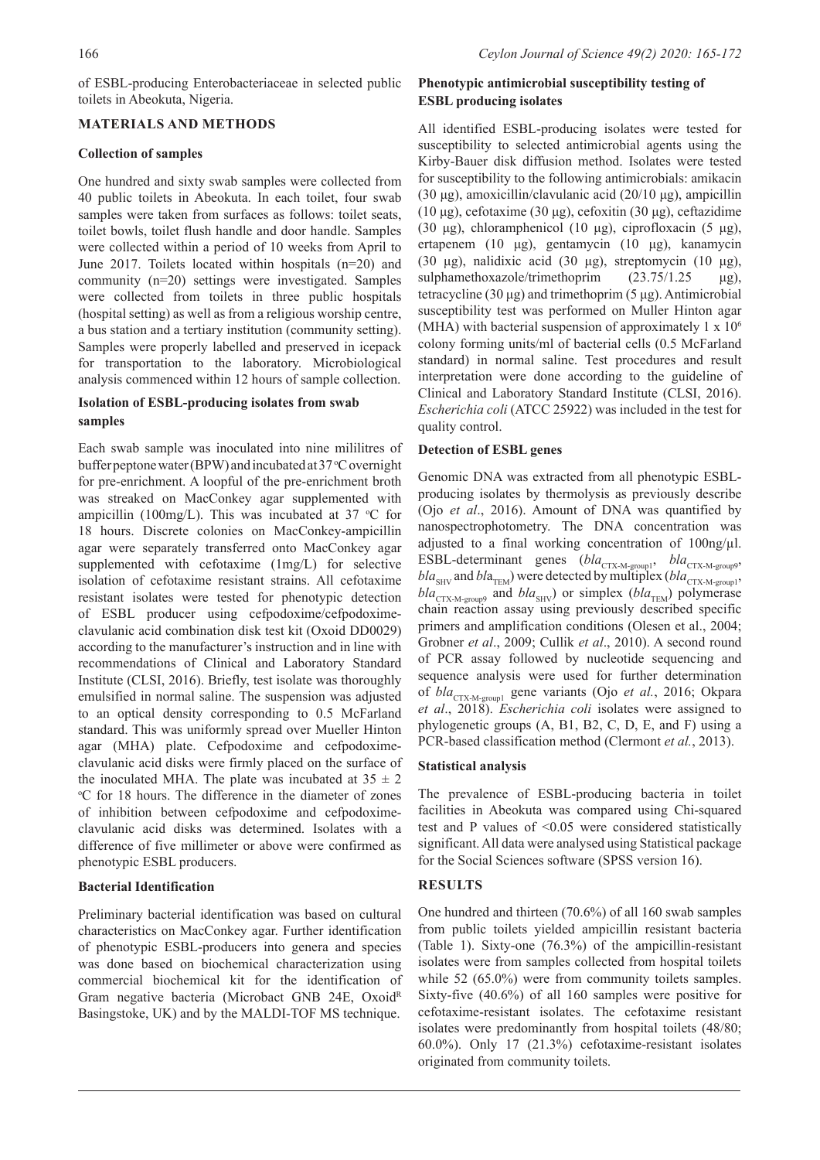of ESBL-producing Enterobacteriaceae in selected public toilets in Abeokuta, Nigeria.

### **MATERIALS AND METHODS**

### **Collection of samples**

One hundred and sixty swab samples were collected from 40 public toilets in Abeokuta. In each toilet, four swab samples were taken from surfaces as follows: toilet seats, toilet bowls, toilet flush handle and door handle. Samples were collected within a period of 10 weeks from April to June 2017. Toilets located within hospitals (n=20) and community (n=20) settings were investigated. Samples were collected from toilets in three public hospitals (hospital setting) as well as from a religious worship centre, a bus station and a tertiary institution (community setting). Samples were properly labelled and preserved in icepack for transportation to the laboratory. Microbiological analysis commenced within 12 hours of sample collection.

### **Isolation of ESBL-producing isolates from swab samples**

Each swab sample was inoculated into nine mililitres of buffer peptone water (BPW) and incubated at 37 °C overnight for pre-enrichment. A loopful of the pre-enrichment broth was streaked on MacConkey agar supplemented with ampicillin (100mg/L). This was incubated at 37  $\,^{\circ}$ C for 18 hours. Discrete colonies on MacConkey-ampicillin agar were separately transferred onto MacConkey agar supplemented with cefotaxime (1mg/L) for selective isolation of cefotaxime resistant strains. All cefotaxime resistant isolates were tested for phenotypic detection of ESBL producer using cefpodoxime/cefpodoximeclavulanic acid combination disk test kit (Oxoid DD0029) according to the manufacturer's instruction and in line with recommendations of Clinical and Laboratory Standard Institute (CLSI, 2016). Briefly, test isolate was thoroughly emulsified in normal saline. The suspension was adjusted to an optical density corresponding to 0.5 McFarland standard. This was uniformly spread over Mueller Hinton agar (MHA) plate. Cefpodoxime and cefpodoximeclavulanic acid disks were firmly placed on the surface of the inoculated MHA. The plate was incubated at  $35 \pm 2$ <sup>o</sup>C for 18 hours. The difference in the diameter of zones of inhibition between cefpodoxime and cefpodoximeclavulanic acid disks was determined. Isolates with a difference of five millimeter or above were confirmed as phenotypic ESBL producers.

# **Bacterial Identification**

Preliminary bacterial identification was based on cultural characteristics on MacConkey agar. Further identification of phenotypic ESBL-producers into genera and species was done based on biochemical characterization using commercial biochemical kit for the identification of Gram negative bacteria (Microbact GNB 24E, OxoidR Basingstoke, UK) and by the MALDI-TOF MS technique.

# **Phenotypic antimicrobial susceptibility testing of ESBL producing isolates**

All identified ESBL-producing isolates were tested for susceptibility to selected antimicrobial agents using the Kirby-Bauer disk diffusion method. Isolates were tested for susceptibility to the following antimicrobials: amikacin (30 μg), amoxicillin/clavulanic acid (20/10 μg), ampicillin (10 μg), cefotaxime (30 μg), cefoxitin (30 μg), ceftazidime (30 μg), chloramphenicol (10 μg), ciprofloxacin (5 μg), ertapenem (10 μg), gentamycin (10 μg), kanamycin (30 μg), nalidixic acid (30 μg), streptomycin (10 μg), sulphamethoxazole/trimethoprim (23.75/1.25 μg), tetracycline (30 μg) and trimethoprim (5 μg). Antimicrobial susceptibility test was performed on Muller Hinton agar (MHA) with bacterial suspension of approximately  $1 \times 10^6$ colony forming units/ml of bacterial cells (0.5 McFarland standard) in normal saline. Test procedures and result interpretation were done according to the guideline of Clinical and Laboratory Standard Institute (CLSI, 2016). *Escherichia coli* (ATCC 25922) was included in the test for quality control.

### **Detection of ESBL genes**

Genomic DNA was extracted from all phenotypic ESBLproducing isolates by thermolysis as previously describe (Ojo *et al*., 2016). Amount of DNA was quantified by nanospectrophotometry. The DNA concentration was adjusted to a final working concentration of 100ng/µl. ESBL-determinant genes (*bla*<sub>CTX-M-group1</sub>, *bla*<sub>CTX-M-group9</sub>,  $bla_{\text{SHV}}$  and  $bla_{\text{TEM}}$ ) were detected by multiplex ( $bla_{\text{CTX-M-group1}}$ ,  $bla_{\text{CTX-M-group}}$  and  $bla_{\text{SHV}}$ ) or simplex  $(bla_{\text{TEM}})$  polymerase chain reaction assay using previously described specific primers and amplification conditions (Olesen et al., 2004; Grobner *et al*., 2009; Cullik *et al*., 2010). A second round of PCR assay followed by nucleotide sequencing and sequence analysis were used for further determination of *bla*<sub>CTX-M-group1</sub> gene variants (Ojo *et al.*, 2016; Okpara *et al*., 2018). *Escherichia coli* isolates were assigned to phylogenetic groups (A, B1, B2, C, D, E, and F) using a PCR-based classification method (Clermont *et al.*, 2013).

# **Statistical analysis**

The prevalence of ESBL-producing bacteria in toilet facilities in Abeokuta was compared using Chi-squared test and P values of <0.05 were considered statistically significant. All data were analysed using Statistical package for the Social Sciences software (SPSS version 16).

# **RESULTS**

One hundred and thirteen (70.6%) of all 160 swab samples from public toilets yielded ampicillin resistant bacteria (Table 1). Sixty-one (76.3%) of the ampicillin-resistant isolates were from samples collected from hospital toilets while 52 (65.0%) were from community toilets samples. Sixty-five (40.6%) of all 160 samples were positive for cefotaxime-resistant isolates. The cefotaxime resistant isolates were predominantly from hospital toilets (48/80; 60.0%). Only 17 (21.3%) cefotaxime-resistant isolates originated from community toilets.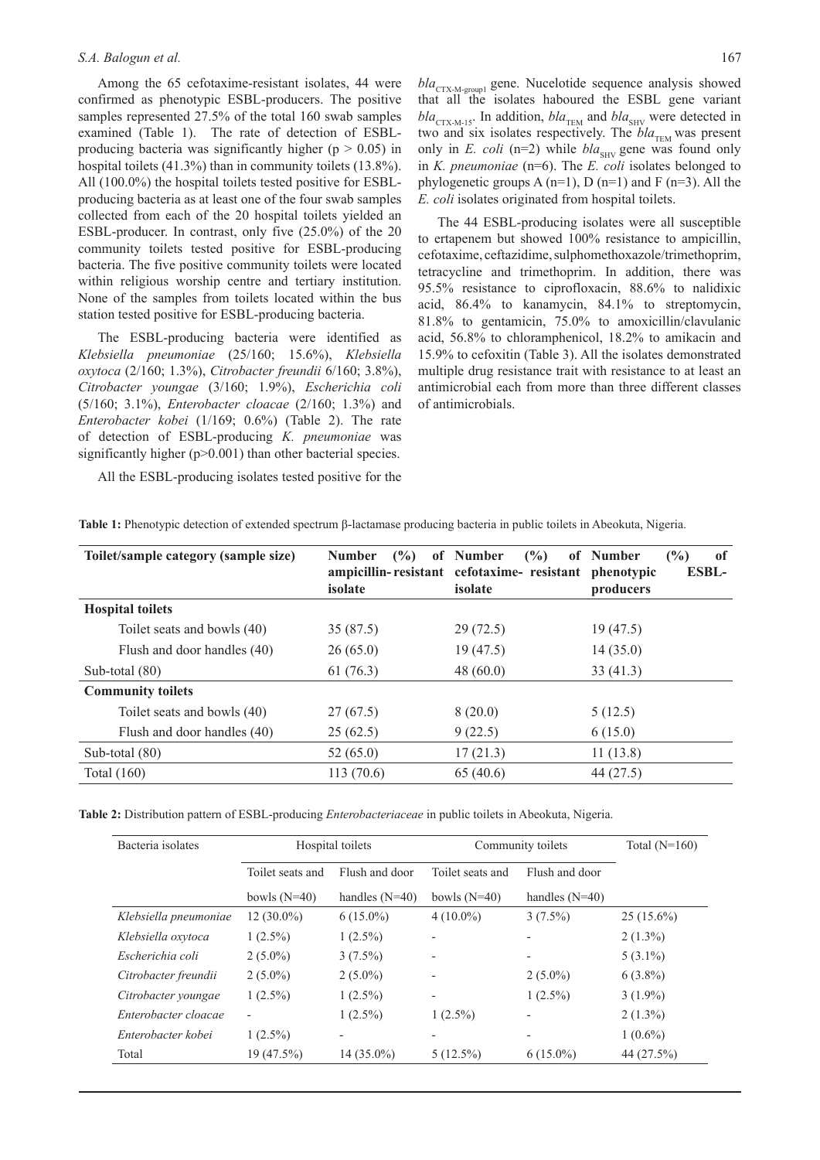Among the 65 cefotaxime-resistant isolates, 44 were confirmed as phenotypic ESBL-producers. The positive samples represented 27.5% of the total 160 swab samples examined (Table 1). The rate of detection of ESBLproducing bacteria was significantly higher ( $p > 0.05$ ) in hospital toilets (41.3%) than in community toilets (13.8%). All (100.0%) the hospital toilets tested positive for ESBLproducing bacteria as at least one of the four swab samples collected from each of the 20 hospital toilets yielded an ESBL-producer. In contrast, only five (25.0%) of the 20 community toilets tested positive for ESBL-producing bacteria. The five positive community toilets were located within religious worship centre and tertiary institution. None of the samples from toilets located within the bus station tested positive for ESBL-producing bacteria.

The ESBL-producing bacteria were identified as *Klebsiella pneumoniae* (25/160; 15.6%), *Klebsiella oxytoca* (2/160; 1.3%), *Citrobacter freundii* 6/160; 3.8%), *Citrobacter youngae* (3/160; 1.9%), *Escherichia coli* (5/160; 3.1%), *Enterobacter cloacae* (2/160; 1.3%) and *Enterobacter kobei* (1/169; 0.6%) (Table 2). The rate of detection of ESBL-producing *K. pneumoniae* was significantly higher (p>0.001) than other bacterial species.

All the ESBL-producing isolates tested positive for the

*bla*<sub>CTX-M-group1</sub> gene. Nucelotide sequence analysis showed that all the isolates haboured the ESBL gene variant  $bla_{\text{CTX-M-15}}$ . In addition,  $bla_{\text{TEM}}$  and  $bla_{\text{SHV}}$  were detected in two and six isolates respectively. The  $bla_{\text{TEM}}$  was present only in *E. coli* (n=2) while  $bla_{SHV}$  gene was found only in *K. pneumoniae* (n=6). The *E. coli* isolates belonged to phylogenetic groups A  $(n=1)$ , D  $(n=1)$  and F  $(n=3)$ . All the *E. coli* isolates originated from hospital toilets.

The 44 ESBL-producing isolates were all susceptible to ertapenem but showed 100% resistance to ampicillin, cefotaxime, ceftazidime, sulphomethoxazole/trimethoprim, tetracycline and trimethoprim. In addition, there was 95.5% resistance to ciprofloxacin, 88.6% to nalidixic acid, 86.4% to kanamycin, 84.1% to streptomycin, 81.8% to gentamicin, 75.0% to amoxicillin/clavulanic acid, 56.8% to chloramphenicol, 18.2% to amikacin and 15.9% to cefoxitin (Table 3). All the isolates demonstrated multiple drug resistance trait with resistance to at least an antimicrobial each from more than three different classes of antimicrobials.

| Toilet/sample category (sample size) | $($ %)<br><b>Number</b><br>isolate | $($ %)<br>of Number<br>ampicillin-resistant cefotaxime-resistant phenotypic<br>isolate | (%)<br>of<br>of Number<br><b>ESBL-</b><br>producers |
|--------------------------------------|------------------------------------|----------------------------------------------------------------------------------------|-----------------------------------------------------|
| <b>Hospital toilets</b>              |                                    |                                                                                        |                                                     |
| Toilet seats and bowls (40)          | 35(87.5)                           | 29(72.5)                                                                               | 19(47.5)                                            |
| Flush and door handles (40)          | 26(65.0)                           | 19(47.5)                                                                               | 14(35.0)                                            |
| Sub-total $(80)$                     | 61(76.3)                           | 48 $(60.0)$                                                                            | 33(41.3)                                            |
| <b>Community toilets</b>             |                                    |                                                                                        |                                                     |
| Toilet seats and bowls (40)          | 27(67.5)                           | 8(20.0)                                                                                | 5(12.5)                                             |
| Flush and door handles (40)          | 25(62.5)                           | 9(22.5)                                                                                | 6(15.0)                                             |
| Sub-total (80)                       | 52(65.0)                           | 17(21.3)                                                                               | 11(13.8)                                            |
| Total $(160)$                        | 113(70.6)                          | 65(40.6)                                                                               | 44 (27.5)                                           |

**Table 1:** Phenotypic detection of extended spectrum β-lactamase producing bacteria in public toilets in Abeokuta, Nigeria.

**Table 2:** Distribution pattern of ESBL-producing *Enterobacteriaceae* in public toilets in Abeokuta, Nigeria.

| Bacteria isolates     | Hospital toilets         |                  | Community toilets        |                          | Total $(N=160)$ |
|-----------------------|--------------------------|------------------|--------------------------|--------------------------|-----------------|
|                       | Toilet seats and         | Flush and door   | Toilet seats and         | Flush and door           |                 |
|                       | bowls $(N=40)$           | handles $(N=40)$ | bowls $(N=40)$           | handles $(N=40)$         |                 |
| Klebsiella pneumoniae | $12(30.0\%)$             | $6(15.0\%)$      | $4(10.0\%)$              | $3(7.5\%)$               | $25(15.6\%)$    |
| Klebsiella oxytoca    | $1(2.5\%)$               | $1(2.5\%)$       | $\overline{\phantom{a}}$ | $\overline{\phantom{a}}$ | $2(1.3\%)$      |
| Escherichia coli      | $2(5.0\%)$               | $3(7.5\%)$       | $\overline{\phantom{a}}$ | $\overline{\phantom{a}}$ | $5(3.1\%)$      |
| Citrobacter freundii  | $2(5.0\%)$               | $2(5.0\%)$       | $\overline{\phantom{a}}$ | $2(5.0\%)$               | $6(3.8\%)$      |
| Citrobacter youngae   | $1(2.5\%)$               | $1(2.5\%)$       | $\overline{\phantom{a}}$ | $1(2.5\%)$               | $3(1.9\%)$      |
| Enterobacter cloacae  | $\overline{\phantom{0}}$ | $1(2.5\%)$       | $1(2.5\%)$               |                          | $2(1.3\%)$      |
| Enterobacter kobei    | $1(2.5\%)$               |                  | $\overline{\phantom{a}}$ | $\overline{\phantom{0}}$ | $1(0.6\%)$      |
| Total                 | 19 (47.5%)               | $14(35.0\%)$     | $5(12.5\%)$              | $6(15.0\%)$              | 44 (27.5%)      |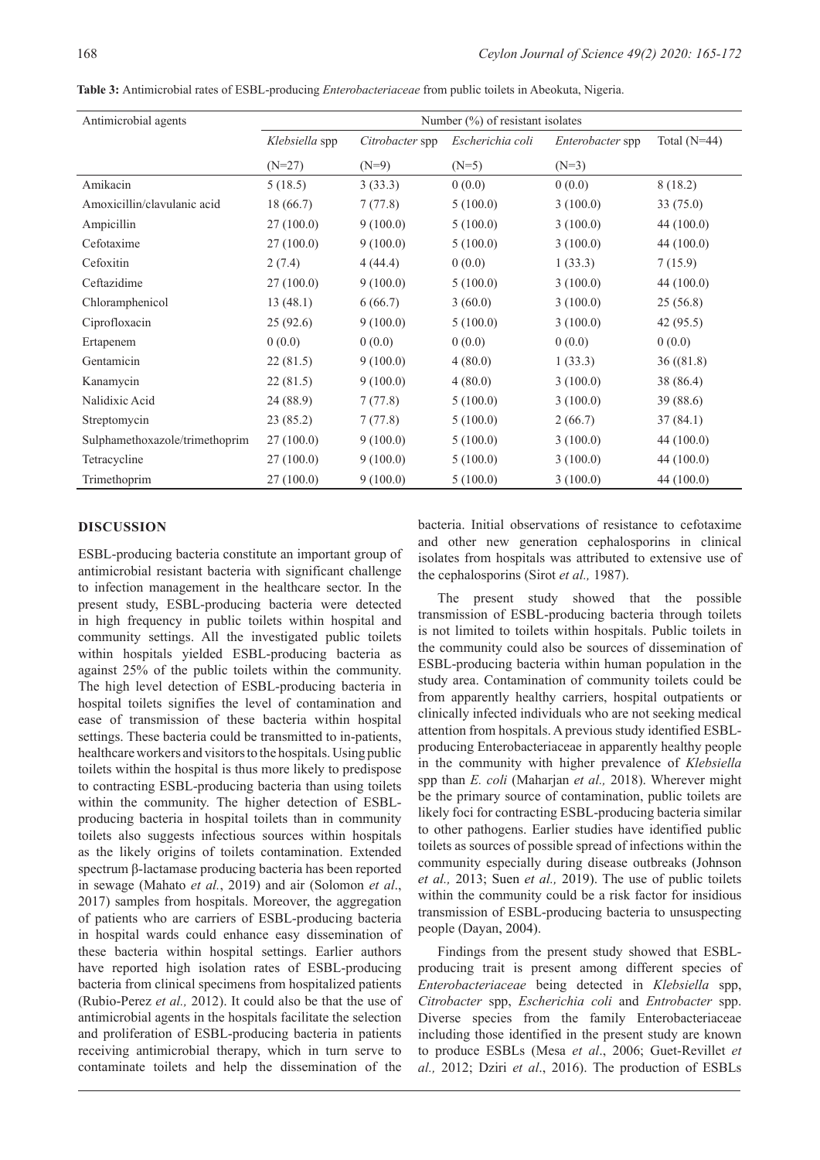| Antimicrobial agents           | Number $(\%)$ of resistant isolates |                 |                  |                  |                |
|--------------------------------|-------------------------------------|-----------------|------------------|------------------|----------------|
|                                | Klebsiella spp                      | Citrobacter spp | Escherichia coli | Enterobacter spp | Total $(N=44)$ |
|                                | $(N=27)$                            | $(N=9)$         | $(N=5)$          | $(N=3)$          |                |
| Amikacin                       | 5(18.5)                             | 3(33.3)         | 0(0.0)           | 0(0.0)           | 8(18.2)        |
| Amoxicillin/clavulanic acid    | 18 (66.7)                           | 7(77.8)         | 5(100.0)         | 3(100.0)         | 33(75.0)       |
| Ampicillin                     | 27(100.0)                           | 9(100.0)        | 5(100.0)         | 3(100.0)         | 44 (100.0)     |
| Cefotaxime                     | 27(100.0)                           | 9(100.0)        | 5(100.0)         | 3(100.0)         | 44 (100.0)     |
| Cefoxitin                      | 2(7.4)                              | 4(44.4)         | 0(0.0)           | 1(33.3)          | 7(15.9)        |
| Ceftazidime                    | 27(100.0)                           | 9(100.0)        | 5(100.0)         | 3(100.0)         | 44 (100.0)     |
| Chloramphenicol                | 13(48.1)                            | 6(66.7)         | 3(60.0)          | 3(100.0)         | 25(56.8)       |
| Ciprofloxacin                  | 25(92.6)                            | 9(100.0)        | 5(100.0)         | 3(100.0)         | 42(95.5)       |
| Ertapenem                      | 0(0.0)                              | 0(0.0)          | 0(0.0)           | 0(0.0)           | 0(0.0)         |
| Gentamicin                     | 22(81.5)                            | 9(100.0)        | 4(80.0)          | 1(33.3)          | 36(81.8)       |
| Kanamycin                      | 22(81.5)                            | 9(100.0)        | 4(80.0)          | 3(100.0)         | 38 (86.4)      |
| Nalidixic Acid                 | 24 (88.9)                           | 7(77.8)         | 5(100.0)         | 3(100.0)         | 39 (88.6)      |
| Streptomycin                   | 23(85.2)                            | 7(77.8)         | 5(100.0)         | 2(66.7)          | 37(84.1)       |
| Sulphamethoxazole/trimethoprim | 27(100.0)                           | 9(100.0)        | 5(100.0)         | 3(100.0)         | 44 (100.0)     |
| Tetracycline                   | 27(100.0)                           | 9(100.0)        | 5(100.0)         | 3(100.0)         | 44 (100.0)     |
| Trimethoprim                   | 27(100.0)                           | 9(100.0)        | 5(100.0)         | 3(100.0)         | 44 (100.0)     |

**Table 3:** Antimicrobial rates of ESBL-producing *Enterobacteriaceae* from public toilets in Abeokuta, Nigeria.

#### **DISCUSSION**

ESBL-producing bacteria constitute an important group of antimicrobial resistant bacteria with significant challenge to infection management in the healthcare sector. In the present study, ESBL-producing bacteria were detected in high frequency in public toilets within hospital and community settings. All the investigated public toilets within hospitals yielded ESBL-producing bacteria as against 25% of the public toilets within the community. The high level detection of ESBL-producing bacteria in hospital toilets signifies the level of contamination and ease of transmission of these bacteria within hospital settings. These bacteria could be transmitted to in-patients, healthcare workers and visitors to the hospitals. Using public toilets within the hospital is thus more likely to predispose to contracting ESBL-producing bacteria than using toilets within the community. The higher detection of ESBLproducing bacteria in hospital toilets than in community toilets also suggests infectious sources within hospitals as the likely origins of toilets contamination. Extended spectrum β-lactamase producing bacteria has been reported in sewage (Mahato *et al.*, 2019) and air (Solomon *et al*., 2017) samples from hospitals. Moreover, the aggregation of patients who are carriers of ESBL-producing bacteria in hospital wards could enhance easy dissemination of these bacteria within hospital settings. Earlier authors have reported high isolation rates of ESBL-producing bacteria from clinical specimens from hospitalized patients (Rubio-Perez *et al.,* 2012). It could also be that the use of antimicrobial agents in the hospitals facilitate the selection and proliferation of ESBL-producing bacteria in patients receiving antimicrobial therapy, which in turn serve to contaminate toilets and help the dissemination of the

bacteria. Initial observations of resistance to cefotaxime and other new generation cephalosporins in clinical isolates from hospitals was attributed to extensive use of the cephalosporins (Sirot *et al.,* 1987).

The present study showed that the possible transmission of ESBL-producing bacteria through toilets is not limited to toilets within hospitals. Public toilets in the community could also be sources of dissemination of ESBL-producing bacteria within human population in the study area. Contamination of community toilets could be from apparently healthy carriers, hospital outpatients or clinically infected individuals who are not seeking medical attention from hospitals. A previous study identified ESBLproducing Enterobacteriaceae in apparently healthy people in the community with higher prevalence of *Klebsiella* spp than *E. coli* (Maharjan *et al.,* 2018). Wherever might be the primary source of contamination, public toilets are likely foci for contracting ESBL-producing bacteria similar to other pathogens. Earlier studies have identified public toilets as sources of possible spread of infections within the community especially during disease outbreaks (Johnson *et al.,* 2013; Suen *et al.,* 2019). The use of public toilets within the community could be a risk factor for insidious transmission of ESBL-producing bacteria to unsuspecting people (Dayan, 2004).

Findings from the present study showed that ESBLproducing trait is present among different species of *Enterobacteriaceae* being detected in *Klebsiella* spp, *Citrobacter* spp, *Escherichia coli* and *Entrobacter* spp. Diverse species from the family Enterobacteriaceae including those identified in the present study are known to produce ESBLs (Mesa *et al*., 2006; Guet-Revillet *et al.,* 2012; Dziri *et al*., 2016). The production of ESBLs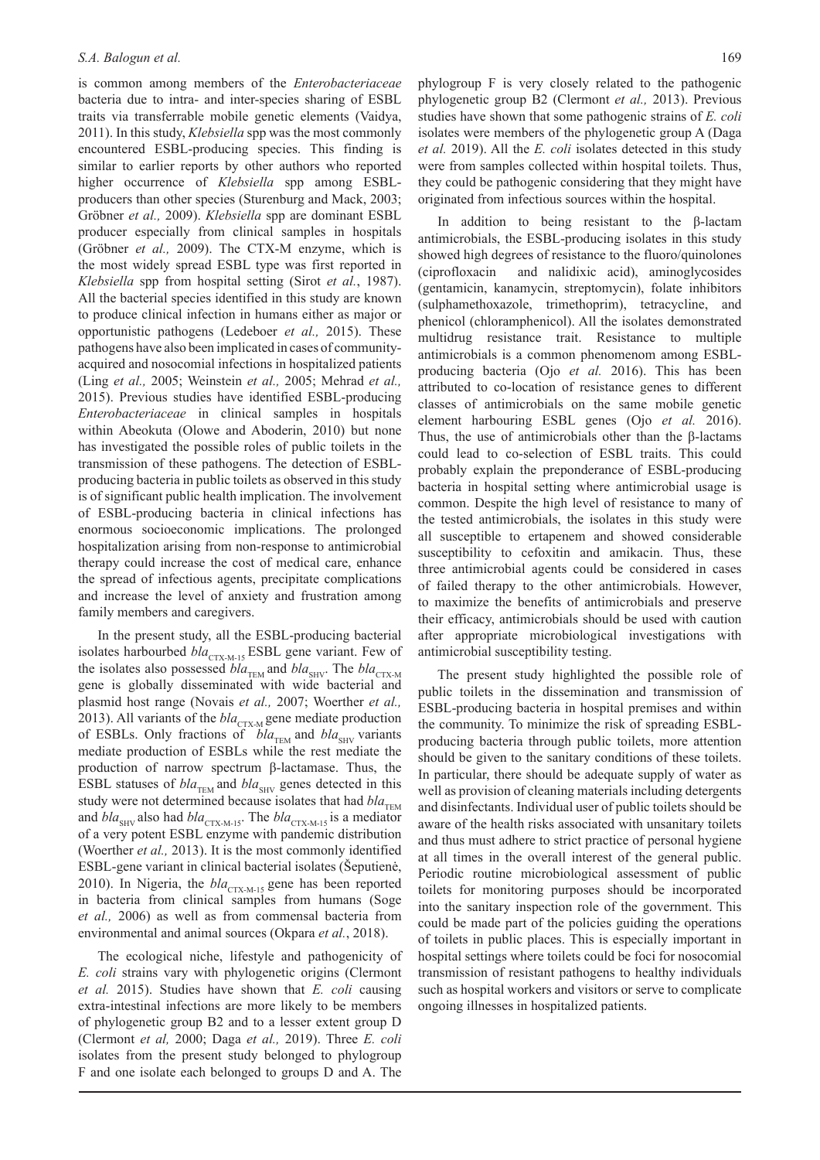is common among members of the *Enterobacteriaceae* bacteria due to intra- and inter-species sharing of ESBL traits via transferrable mobile genetic elements (Vaidya, 2011). In this study, *Klebsiella* spp was the most commonly encountered ESBL-producing species. This finding is similar to earlier reports by other authors who reported higher occurrence of *Klebsiella* spp among ESBLproducers than other species (Sturenburg and Mack, 2003; Gröbner *et al.,* 2009). *Klebsiella* spp are dominant ESBL producer especially from clinical samples in hospitals (Gröbner *et al.,* 2009). The CTX-M enzyme, which is the most widely spread ESBL type was first reported in *Klebsiella* spp from hospital setting (Sirot *et al.*, 1987). All the bacterial species identified in this study are known to produce clinical infection in humans either as major or opportunistic pathogens (Ledeboer *et al.,* 2015). These pathogens have also been implicated in cases of communityacquired and nosocomial infections in hospitalized patients (Ling *et al.,* 2005; Weinstein *et al.,* 2005; Mehrad *et al.,* 2015). Previous studies have identified ESBL-producing *Enterobacteriaceae* in clinical samples in hospitals within Abeokuta (Olowe and Aboderin, 2010) but none has investigated the possible roles of public toilets in the transmission of these pathogens. The detection of ESBLproducing bacteria in public toilets as observed in this study is of significant public health implication. The involvement of ESBL-producing bacteria in clinical infections has enormous socioeconomic implications. The prolonged hospitalization arising from non-response to antimicrobial therapy could increase the cost of medical care, enhance the spread of infectious agents, precipitate complications and increase the level of anxiety and frustration among family members and caregivers.

In the present study, all the ESBL-producing bacterial isolates harbourbed *bla*<sub>CTX-M-15</sub> ESBL gene variant. Few of the isolates also possessed *bla*<sub>TEM</sub> and *bla*<sub>SHV</sub>. The *bla*<sub>CTX-M</sub> gene is globally disseminated with wide bacterial and plasmid host range (Novais *et al.,* 2007; Woerther *et al.,* 2013). All variants of the *bla*<sub>CTX-M</sub> gene mediate production of ESBLs. Only fractions of *bla*<sub>TEM</sub> and *bla*<sub>SHV</sub> variants mediate production of ESBLs while the rest mediate the production of narrow spectrum β-lactamase. Thus, the ESBL statuses of  $bla_{THM}$  and  $bla_{SHV}$  genes detected in this study were not determined because isolates that had *bla*<sub>TEM</sub> and  $bla_{\text{SHV}}$  also had  $bla_{\text{CTX-M-15}}$ . The  $bla_{\text{CTX-M-15}}$  is a mediator of a very potent ESBL enzyme with pandemic distribution (Woerther *et al.,* 2013). It is the most commonly identified ESBL-gene variant in clinical bacterial isolates (Šeputienė, 2010). In Nigeria, the  $bla_{CTX, M, 15}$  gene has been reported in bacteria from clinical samples from humans (Soge *et al.,* 2006) as well as from commensal bacteria from environmental and animal sources (Okpara *et al.*, 2018).

The ecological niche, lifestyle and pathogenicity of *E. coli* strains vary with phylogenetic origins (Clermont *et al.* 2015). Studies have shown that *E. coli* causing extra-intestinal infections are more likely to be members of phylogenetic group B2 and to a lesser extent group D (Clermont *et al,* 2000; Daga *et al.,* 2019). Three *E. coli* isolates from the present study belonged to phylogroup F and one isolate each belonged to groups D and A. The

phylogroup F is very closely related to the pathogenic phylogenetic group B2 (Clermont *et al.,* 2013). Previous studies have shown that some pathogenic strains of *E. coli* isolates were members of the phylogenetic group A (Daga *et al.* 2019). All the *E. coli* isolates detected in this study were from samples collected within hospital toilets. Thus, they could be pathogenic considering that they might have originated from infectious sources within the hospital.

In addition to being resistant to the β-lactam antimicrobials, the ESBL-producing isolates in this study showed high degrees of resistance to the fluoro/quinolones (ciprofloxacin and nalidixic acid), aminoglycosides (gentamicin, kanamycin, streptomycin), folate inhibitors (sulphamethoxazole, trimethoprim), tetracycline, and phenicol (chloramphenicol). All the isolates demonstrated multidrug resistance trait. Resistance to multiple antimicrobials is a common phenomenom among ESBLproducing bacteria (Ojo *et al.* 2016). This has been attributed to co-location of resistance genes to different classes of antimicrobials on the same mobile genetic element harbouring ESBL genes (Ojo *et al.* 2016). Thus, the use of antimicrobials other than the β-lactams could lead to co-selection of ESBL traits. This could probably explain the preponderance of ESBL-producing bacteria in hospital setting where antimicrobial usage is common. Despite the high level of resistance to many of the tested antimicrobials, the isolates in this study were all susceptible to ertapenem and showed considerable susceptibility to cefoxitin and amikacin. Thus, these three antimicrobial agents could be considered in cases of failed therapy to the other antimicrobials. However, to maximize the benefits of antimicrobials and preserve their efficacy, antimicrobials should be used with caution after appropriate microbiological investigations with antimicrobial susceptibility testing.

The present study highlighted the possible role of public toilets in the dissemination and transmission of ESBL-producing bacteria in hospital premises and within the community. To minimize the risk of spreading ESBLproducing bacteria through public toilets, more attention should be given to the sanitary conditions of these toilets. In particular, there should be adequate supply of water as well as provision of cleaning materials including detergents and disinfectants. Individual user of public toilets should be aware of the health risks associated with unsanitary toilets and thus must adhere to strict practice of personal hygiene at all times in the overall interest of the general public. Periodic routine microbiological assessment of public toilets for monitoring purposes should be incorporated into the sanitary inspection role of the government. This could be made part of the policies guiding the operations of toilets in public places. This is especially important in hospital settings where toilets could be foci for nosocomial transmission of resistant pathogens to healthy individuals such as hospital workers and visitors or serve to complicate ongoing illnesses in hospitalized patients.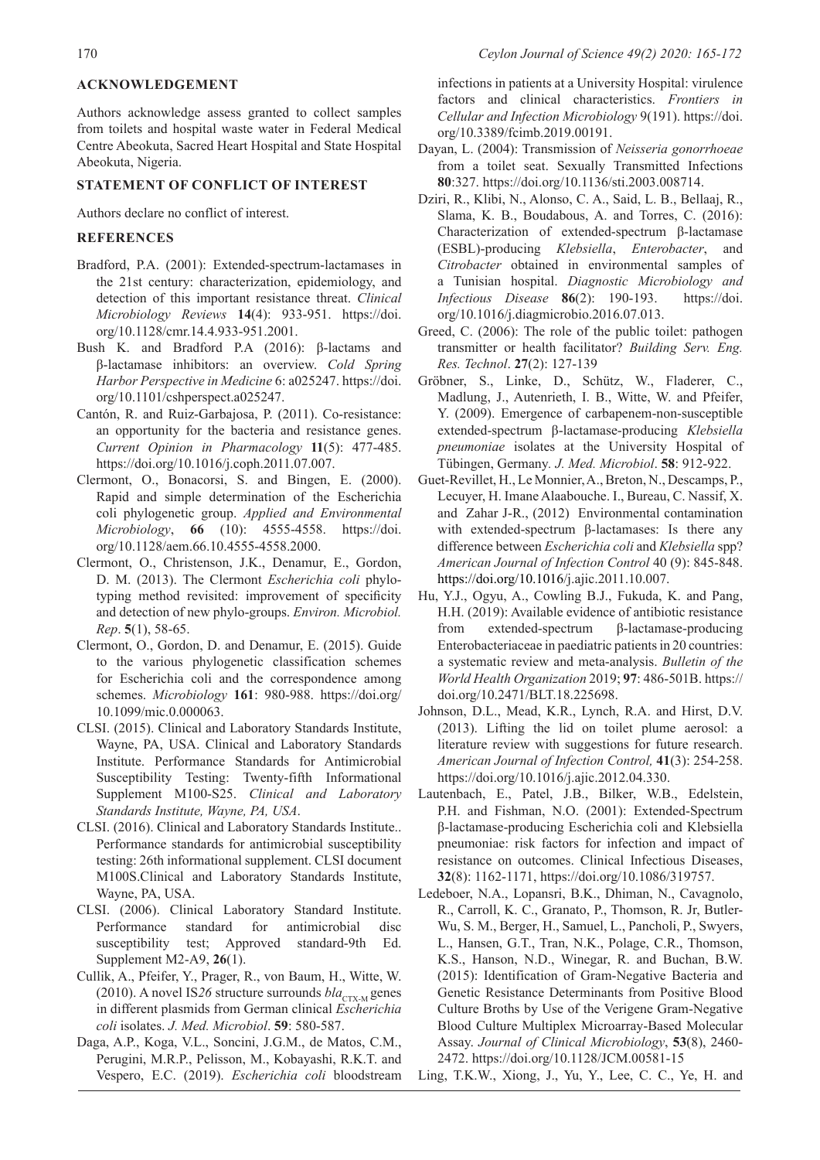#### **ACKNOWLEDGEMENT**

Authors acknowledge assess granted to collect samples from toilets and hospital waste water in Federal Medical Centre Abeokuta, Sacred Heart Hospital and State Hospital Abeokuta, Nigeria.

#### **STATEMENT OF CONFLICT OF INTEREST**

Authors declare no conflict of interest.

#### **REFERENCES**

- Bradford, P.A. (2001): Extended-spectrum-lactamases in the 21st century: characterization, epidemiology, and detection of this important resistance threat. *Clinical Microbiology Reviews* **14**(4): 933-951. https://doi. org/10.1128/cmr.14.4.933-951.2001.
- Bush K. and Bradford P.A (2016): β-lactams and β-lactamase inhibitors: an overview. *Cold Spring Harbor Perspective in Medicine* 6: a025247. https://doi. org/10.1101/cshperspect.a025247.
- Cantón, R. and Ruiz-Garbajosa, P. (2011). Co-resistance: an opportunity for the bacteria and resistance genes. *Current Opinion in Pharmacology* **11**(5): 477-485. https://doi.org/10.1016/j.coph.2011.07.007.
- Clermont, O., Bonacorsi, S. and Bingen, E. (2000). Rapid and simple determination of the Escherichia coli phylogenetic group. *Applied and Environmental Microbiology*, **66** (10): 4555-4558. https://doi. org/10.1128/aem.66.10.4555-4558.2000.
- Clermont, O., Christenson, J.K., Denamur, E., Gordon, D. M. (2013). The Clermont *Escherichia coli* phylotyping method revisited: improvement of specificity and detection of new phylo-groups. *Environ. Microbiol. Rep*. **5**(1), 58-65.
- Clermont, O., Gordon, D. and Denamur, E. (2015). Guide to the various phylogenetic classification schemes for Escherichia coli and the correspondence among schemes. *Microbiology* **161**: 980-988. https://doi.org/ 10.1099/mic.0.000063.
- CLSI. (2015). Clinical and Laboratory Standards Institute, Wayne, PA, USA. Clinical and Laboratory Standards Institute. Performance Standards for Antimicrobial Susceptibility Testing: Twenty-fifth Informational Supplement M100-S25. *Clinical and Laboratory Standards Institute, Wayne, PA, USA*.
- CLSI. (2016). Clinical and Laboratory Standards Institute.. Performance standards for antimicrobial susceptibility testing: 26th informational supplement. CLSI document M100S.Clinical and Laboratory Standards Institute, Wayne, PA, USA.
- CLSI. (2006). Clinical Laboratory Standard Institute. Performance standard for antimicrobial disc susceptibility test; Approved standard-9th Ed. Supplement M2-A9, **26**(1).
- Cullik, A., Pfeifer, Y., Prager, R., von Baum, H., Witte, W. (2010). A novel IS26 structure surrounds  $bla_{\text{CTX-M}}$  genes in different plasmids from German clinical *Escherichia coli* isolates. *J. Med. Microbiol*. **59**: 580-587.
- Daga, A.P., Koga, V.L., Soncini, J.G.M., de Matos, C.M., Perugini, M.R.P., Pelisson, M., Kobayashi, R.K.T. and Vespero, E.C. (2019). *Escherichia coli* bloodstream

infections in patients at a University Hospital: virulence factors and clinical characteristics. *Frontiers in Cellular and Infection Microbiology* 9(191). https://doi. org/10.3389/fcimb.2019.00191.

- Dayan, L. (2004): Transmission of *Neisseria gonorrhoeae* from a toilet seat. Sexually Transmitted Infections **80**:327. https://doi.org/10.1136/sti.2003.008714.
- Dziri, R., Klibi, N., Alonso, C. A., Said, L. B., Bellaaj, R., Slama, K. B., Boudabous, A. and Torres, C. (2016): Characterization of extended-spectrum β-lactamase (ESBL)-producing *Klebsiella*, *Enterobacter*, and *Citrobacter* obtained in environmental samples of a Tunisian hospital. *Diagnostic Microbiology and Infectious Disease* **86**(2): 190-193. https://doi. org/10.1016/j.diagmicrobio.2016.07.013.
- Greed, C. (2006): The role of the public toilet: pathogen transmitter or health facilitator? *Building Serv. Eng. Res. Technol*. **27**(2): 127-139
- Gröbner, S., Linke, D., Schütz, W., Fladerer, C., Madlung, J., Autenrieth, I. B., Witte, W. and Pfeifer, Y. (2009). Emergence of carbapenem-non-susceptible extended-spectrum β-lactamase-producing *Klebsiella pneumoniae* isolates at the University Hospital of Tübingen, Germany*. J. Med. Microbiol*. **58**: 912-922.
- Guet-Revillet, H., Le Monnier, A., Breton, N., Descamps, P., Lecuyer, H. Imane Alaabouche. I., Bureau, C. Nassif, X. and Zahar J-R., (2012) Environmental contamination with extended-spectrum β-lactamases: Is there any difference between *Escherichia coli* and *Klebsiella* spp? *American Journal of Infection Control* 40 (9): 845-848. https://doi.org/10.1016/j.ajic.2011.10.007.
- Hu, Y.J., Ogyu, A., Cowling B.J., Fukuda, K. and Pang, H.H. (2019): Available evidence of antibiotic resistance from extended-spectrum β-lactamase-producing Enterobacteriaceae in paediatric patients in 20 countries: a systematic review and meta-analysis. *Bulletin of the World Health Organization* 2019; **97**: 486-501B. https:// doi.org/10.2471/BLT.18.225698.
- Johnson, D.L., Mead, K.R., Lynch, R.A. and Hirst, D.V. (2013). Lifting the lid on toilet plume aerosol: a literature review with suggestions for future research. *American Journal of Infection Control,* **41**(3): 254-258. https://doi.org/10.1016/j.ajic.2012.04.330.
- Lautenbach, E., Patel, J.B., Bilker, W.B., Edelstein, P.H. and Fishman, N.O. (2001): Extended-Spectrum β-lactamase-producing Escherichia coli and Klebsiella pneumoniae: risk factors for infection and impact of resistance on outcomes. Clinical Infectious Diseases, **32**(8): 1162-1171, https://doi.org/10.1086/319757.
- Ledeboer, N.A., Lopansri, B.K., Dhiman, N., Cavagnolo, R., Carroll, K. C., Granato, P., Thomson, R. Jr, Butler-Wu, S. M., Berger, H., Samuel, L., Pancholi, P., Swyers, L., Hansen, G.T., Tran, N.K., Polage, C.R., Thomson, K.S., Hanson, N.D., Winegar, R. and Buchan, B.W. (2015): Identification of Gram-Negative Bacteria and Genetic Resistance Determinants from Positive Blood Culture Broths by Use of the Verigene Gram-Negative Blood Culture Multiplex Microarray-Based Molecular Assay. *Journal of Clinical Microbiology*, **53**(8), 2460- 2472. https://doi.org/10.1128/JCM.00581-15
- Ling, T.K.W., Xiong, J., Yu, Y., Lee, C. C., Ye, H. and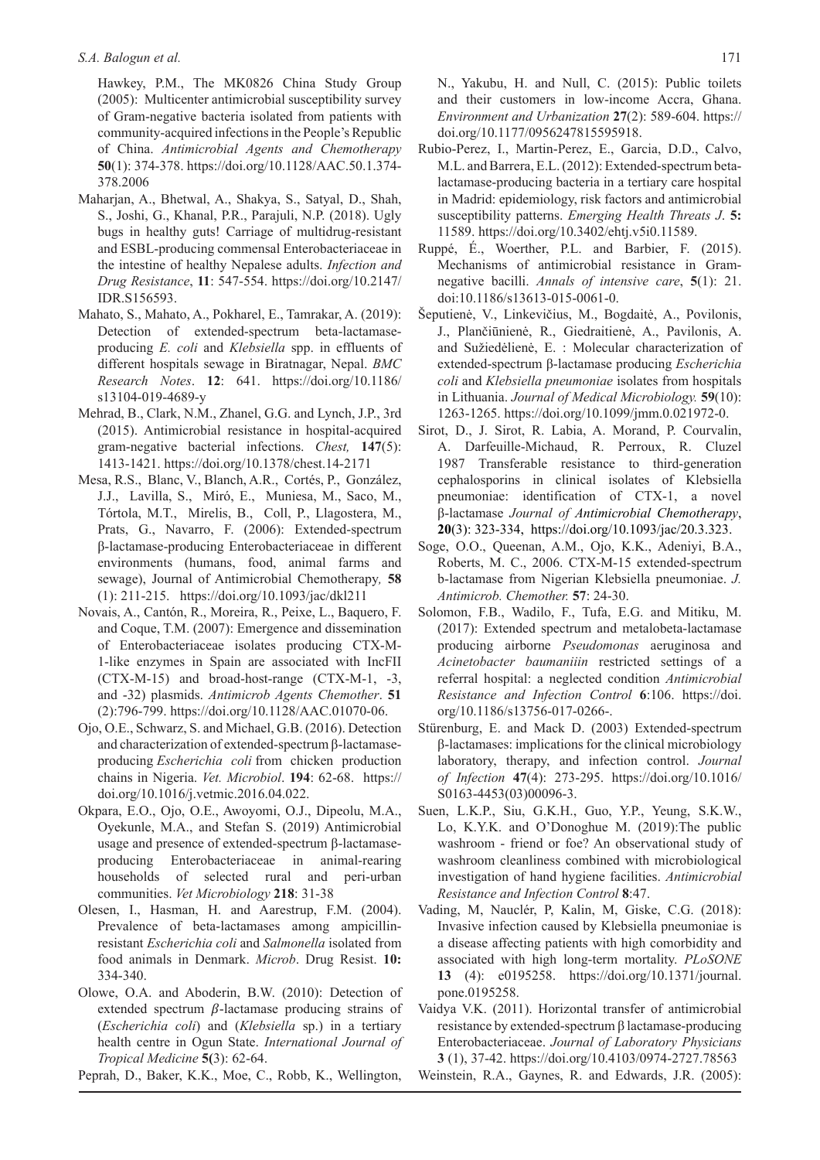#### *S.A. Balogun et al.* 171

Hawkey, P.M., The MK0826 China Study Group (2005): Multicenter antimicrobial susceptibility survey of Gram-negative bacteria isolated from patients with community-acquired infections in the People's Republic of China. *Antimicrobial Agents and Chemotherapy* **50**(1): 374-378. https://doi.org/10.1128/AAC.50.1.374- 378.2006

- Maharjan, A., Bhetwal, A., Shakya, S., Satyal, D., Shah, S., Joshi, G., Khanal, P.R., Parajuli, N.P. (2018). Ugly bugs in healthy guts! Carriage of multidrug-resistant and ESBL-producing commensal Enterobacteriaceae in the intestine of healthy Nepalese adults. *Infection and Drug Resistance*, **11**: 547-554. https://doi.org/10.2147/ IDR.S156593.
- Mahato, S., Mahato, A., Pokharel, E., Tamrakar, A. (2019): Detection of extended-spectrum beta-lactamaseproducing *E. coli* and *Klebsiella* spp. in effluents of different hospitals sewage in Biratnagar, Nepal. *BMC Research Notes*. **12**: 641. https://doi.org/10.1186/ s13104-019-4689-y
- Mehrad, B., Clark, N.M., Zhanel, G.G. and Lynch, J.P., 3rd (2015). Antimicrobial resistance in hospital-acquired gram-negative bacterial infections. *Chest,* **147**(5): 1413-1421. https://doi.org/10.1378/chest.14-2171
- Mesa, R.S., Blanc, V., Blanch, A.R., Cortés, P., González, J.J., Lavilla, S., Miró, E., Muniesa, M., Saco, M., Tórtola, M.T., Mirelis, B., Coll, P., Llagostera, M., Prats, G., Navarro, F. (2006): Extended-spectrum β-lactamase-producing Enterobacteriaceae in different environments (humans, food, animal farms and sewage), Journal of Antimicrobial Chemotherapy*,* **58**  (1): 211-215. https://doi.org/10.1093/jac/dkl211
- Novais, A., Cantón, R., Moreira, R., Peixe, L., Baquero, F. and Coque, T.M. (2007): Emergence and dissemination of Enterobacteriaceae isolates producing CTX-M-1-like enzymes in Spain are associated with IncFII (CTX-M-15) and broad-host-range (CTX-M-1, -3, and -32) plasmids. *Antimicrob Agents Chemother*. **51** (2):796-799. https://doi.org/10.1128/AAC.01070-06.
- Ojo, O.E., Schwarz, S. and Michael, G.B. (2016). Detection and characterization of extended-spectrum β-lactamaseproducing *Escherichia coli* from chicken production chains in Nigeria. *Vet. Microbiol*. **194**: 62-68. https:// doi.org/10.1016/j.vetmic.2016.04.022.
- Okpara, E.O., Ojo, O.E., Awoyomi, O.J., Dipeolu, M.A., Oyekunle, M.A., and Stefan S. (2019) Antimicrobial usage and presence of extended-spectrum β-lactamaseproducing Enterobacteriaceae in animal-rearing households of selected rural and peri-urban communities. *Vet Microbiology* **218**: 31-38
- Olesen, I., Hasman, H. and Aarestrup, F.M. (2004). Prevalence of beta-lactamases among ampicillinresistant *Escherichia coli* and *Salmonella* isolated from food animals in Denmark. *Microb*. Drug Resist. **10:** 334-340.
- Olowe, O.A. and Aboderin, B.W. (2010): Detection of extended spectrum  $\beta$ -lactamase producing strains of (*Escherichia coli*) and (*Klebsiella* sp.) in a tertiary health centre in Ogun State. *International Journal of Tropical Medicine* **5(**3): 62-64.

Peprah, D., Baker, K.K., Moe, C., Robb, K., Wellington,

N., Yakubu, H. and Null, C. (2015): Public toilets and their customers in low-income Accra, Ghana. *Environment and Urbanization* **27**(2): 589-604. https:// doi.org/10.1177/0956247815595918.

- Rubio-Perez, I., Martin-Perez, E., Garcia, D.D., Calvo, M.L. and Barrera, E.L. (2012): Extended-spectrum betalactamase-producing bacteria in a tertiary care hospital in Madrid: epidemiology, risk factors and antimicrobial susceptibility patterns. *Emerging Health Threats J*. **5:** 11589. https://doi.org/10.3402/ehtj.v5i0.11589.
- Ruppé, É., Woerther, P.L. and Barbier, F. (2015). Mechanisms of antimicrobial resistance in Gramnegative bacilli. *Annals of intensive care*, **5**(1): 21. doi:10.1186/s13613-015-0061-0.
- Šeputienė, V., Linkevičius, M., Bogdaitė, A., Povilonis, J., Plančiūnienė, R., Giedraitienė, A., Pavilonis, A. and Sužiedėlienė, E. : Molecular characterization of extended-spectrum β-lactamase producing *Escherichia coli* and *Klebsiella pneumoniae* isolates from hospitals in Lithuania. *Journal of Medical Microbiology.* **59**(10): 1263-1265. https://doi.org/10.1099/jmm.0.021972-0.
- Sirot, D., J. Sirot, R. Labia, A. Morand, P. Courvalin, A. Darfeuille-Michaud, R. Perroux, R. Cluzel 1987 Transferable resistance to third-generation cephalosporins in clinical isolates of Klebsiella pneumoniae: identification of CTX-1, a novel β-lactamase *Journal of Antimicrobial Chemotherapy*, **20**(3): 323-334, https://doi.org/10.1093/jac/20.3.323.
- Soge, O.O., Queenan, A.M., Ojo, K.K., Adeniyi, B.A., Roberts, M. C., 2006. CTX-M-15 extended-spectrum b-lactamase from Nigerian Klebsiella pneumoniae. *J. Antimicrob. Chemother.* **57**: 24-30.
- Solomon, F.B., Wadilo, F., Tufa, E.G. and Mitiku, M. (2017): Extended spectrum and metalobeta-lactamase producing airborne *Pseudomonas* aeruginosa and *Acinetobacter baumaniiin* restricted settings of a referral hospital: a neglected condition *Antimicrobial Resistance and Infection Control* **6**:106. https://doi. org/10.1186/s13756-017-0266-.
- Stürenburg, E. and Mack D. (2003) Extended-spectrum β-lactamases: implications for the clinical microbiology laboratory, therapy, and infection control. *Journal of Infection* **47**(4): 273-295. https://doi.org/10.1016/ S0163-4453(03)00096-3.
- Suen, L.K.P., Siu, G.K.H., Guo, Y.P., Yeung, S.K.W., Lo, K.Y.K. and O'Donoghue M. (2019):The public washroom - friend or foe? An observational study of washroom cleanliness combined with microbiological investigation of hand hygiene facilities. *Antimicrobial Resistance and Infection Control* **8**:47.
- Vading, M, Nauclér, P, Kalin, M, Giske, C.G. (2018): Invasive infection caused by Klebsiella pneumoniae is a disease affecting patients with high comorbidity and associated with high long-term mortality. *PLoSONE* **13** (4): e0195258. https://doi.org/10.1371/journal. pone.0195258.
- Vaidya V.K. (2011). Horizontal transfer of antimicrobial resistance by extended-spectrum β lactamase-producing Enterobacteriaceae. *Journal of Laboratory Physicians* **3** (1), 37-42. https://doi.org/10.4103/0974-2727.78563 Weinstein, R.A., Gaynes, R. and Edwards, J.R. (2005):